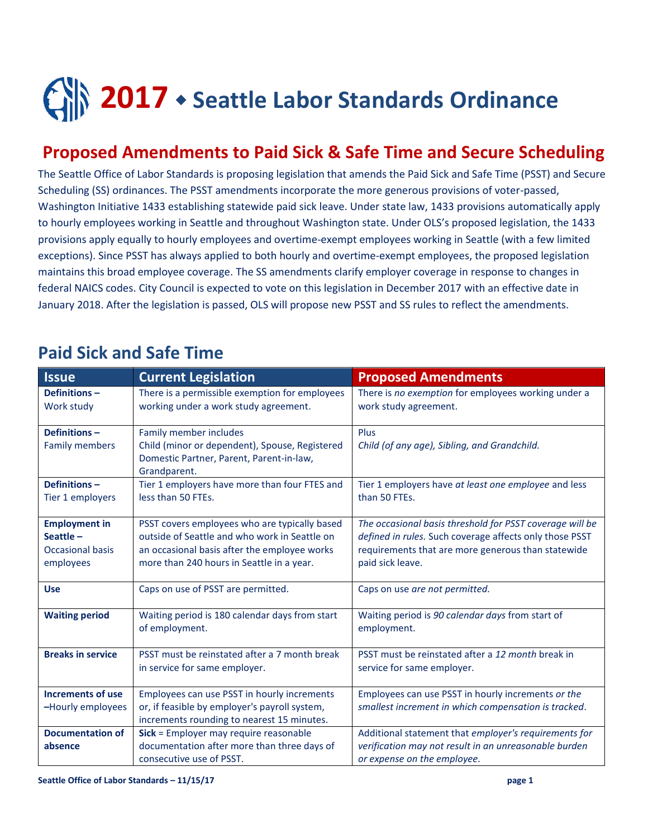## **2017** • Seattle Labor Standards Ordinance

## **Proposed Amendments to Paid Sick & Safe Time and Secure Scheduling**

The Seattle Office of Labor Standards is proposing legislation that amends the Paid Sick and Safe Time (PSST) and Secure Scheduling (SS) ordinances. The PSST amendments incorporate the more generous provisions of voter-passed, Washington Initiative 1433 establishing statewide paid sick leave. Under state law, 1433 provisions automatically apply to hourly employees working in Seattle and throughout Washington state. Under OLS's proposed legislation, the 1433 provisions apply equally to hourly employees and overtime-exempt employees working in Seattle (with a few limited exceptions). Since PSST has always applied to both hourly and overtime-exempt employees, the proposed legislation maintains this broad employee coverage. The SS amendments clarify employer coverage in response to changes in federal NAICS codes. City Council is expected to vote on this legislation in December 2017 with an effective date in January 2018. After the legislation is passed, OLS will propose new PSST and SS rules to reflect the amendments.

| <b>Issue</b>                                                             | <b>Current Legislation</b>                                                                                                                                                                  | <b>Proposed Amendments</b>                                                                                                                                                                    |
|--------------------------------------------------------------------------|---------------------------------------------------------------------------------------------------------------------------------------------------------------------------------------------|-----------------------------------------------------------------------------------------------------------------------------------------------------------------------------------------------|
| Definitions-<br>Work study                                               | There is a permissible exemption for employees<br>working under a work study agreement.                                                                                                     | There is no exemption for employees working under a<br>work study agreement.                                                                                                                  |
| Definitions-<br><b>Family members</b>                                    | Family member includes<br>Child (minor or dependent), Spouse, Registered<br>Domestic Partner, Parent, Parent-in-law,<br>Grandparent.                                                        | Plus<br>Child (of any age), Sibling, and Grandchild.                                                                                                                                          |
| Definitions-<br>Tier 1 employers                                         | Tier 1 employers have more than four FTES and<br>less than 50 FTEs.                                                                                                                         | Tier 1 employers have at least one employee and less<br>than 50 FTEs.                                                                                                                         |
| <b>Employment in</b><br>Seattle-<br><b>Occasional basis</b><br>employees | PSST covers employees who are typically based<br>outside of Seattle and who work in Seattle on<br>an occasional basis after the employee works<br>more than 240 hours in Seattle in a year. | The occasional basis threshold for PSST coverage will be<br>defined in rules. Such coverage affects only those PSST<br>requirements that are more generous than statewide<br>paid sick leave. |
| <b>Use</b>                                                               | Caps on use of PSST are permitted.                                                                                                                                                          | Caps on use are not permitted.                                                                                                                                                                |
| <b>Waiting period</b>                                                    | Waiting period is 180 calendar days from start<br>of employment.                                                                                                                            | Waiting period is 90 calendar days from start of<br>employment.                                                                                                                               |
| <b>Breaks in service</b>                                                 | PSST must be reinstated after a 7 month break<br>in service for same employer.                                                                                                              | PSST must be reinstated after a 12 month break in<br>service for same employer.                                                                                                               |
| Increments of use<br>-Hourly employees                                   | Employees can use PSST in hourly increments<br>or, if feasible by employer's payroll system,<br>increments rounding to nearest 15 minutes.                                                  | Employees can use PSST in hourly increments or the<br>smallest increment in which compensation is tracked.                                                                                    |
| <b>Documentation of</b><br>absence                                       | Sick = Employer may require reasonable<br>documentation after more than three days of<br>consecutive use of PSST.                                                                           | Additional statement that employer's requirements for<br>verification may not result in an unreasonable burden<br>or expense on the employee.                                                 |

## **Paid Sick and Safe Time**